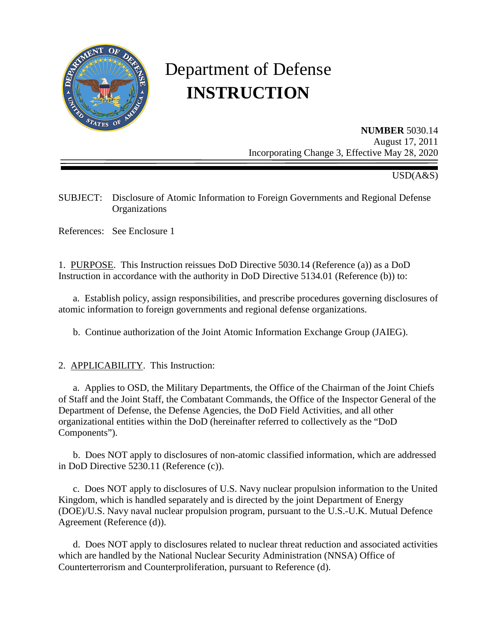

# Department of Defense **INSTRUCTION**

**NUMBER** 5030.14 August 17, 2011 Incorporating Change 3, Effective May 28, 2020

USD(A&S)

SUBJECT: Disclosure of Atomic Information to Foreign Governments and Regional Defense **Organizations** 

References: See Enclosure 1

1. PURPOSE. This Instruction reissues DoD Directive 5030.14 (Reference (a)) as a DoD Instruction in accordance with the authority in DoD Directive 5134.01 (Reference (b)) to:

a. Establish policy, assign responsibilities, and prescribe procedures governing disclosures of atomic information to foreign governments and regional defense organizations.

b. Continue authorization of the Joint Atomic Information Exchange Group (JAIEG).

2. APPLICABILITY. This Instruction:

a. Applies to OSD, the Military Departments, the Office of the Chairman of the Joint Chiefs of Staff and the Joint Staff, the Combatant Commands, the Office of the Inspector General of the Department of Defense, the Defense Agencies, the DoD Field Activities, and all other organizational entities within the DoD (hereinafter referred to collectively as the "DoD Components").

b. Does NOT apply to disclosures of non-atomic classified information, which are addressed in DoD Directive 5230.11 (Reference (c)).

c. Does NOT apply to disclosures of U.S. Navy nuclear propulsion information to the United Kingdom, which is handled separately and is directed by the joint Department of Energy (DOE)/U.S. Navy naval nuclear propulsion program, pursuant to the U.S.-U.K. Mutual Defence Agreement (Reference (d)).

d. Does NOT apply to disclosures related to nuclear threat reduction and associated activities which are handled by the National Nuclear Security Administration (NNSA) Office of Counterterrorism and Counterproliferation, pursuant to Reference (d).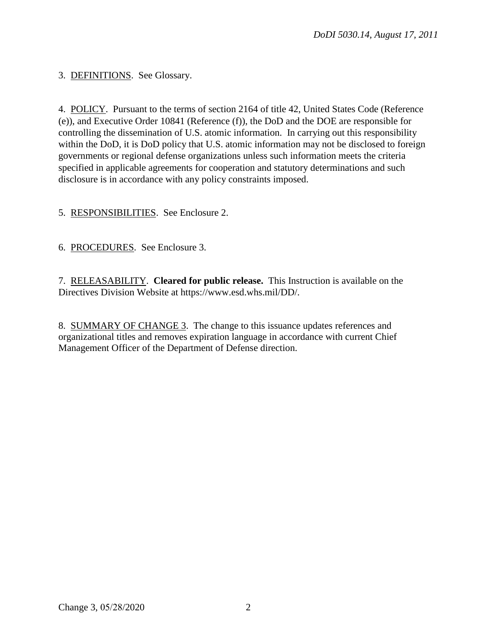3. DEFINITIONS. See Glossary.

4. POLICY. Pursuant to the terms of section 2164 of title 42, United States Code (Reference (e)), and Executive Order 10841 (Reference (f)), the DoD and the DOE are responsible for controlling the dissemination of U.S. atomic information. In carrying out this responsibility within the DoD, it is DoD policy that U.S. atomic information may not be disclosed to foreign governments or regional defense organizations unless such information meets the criteria specified in applicable agreements for cooperation and statutory determinations and such disclosure is in accordance with any policy constraints imposed.

5. RESPONSIBILITIES. See Enclosure 2.

6. PROCEDURES. See Enclosure 3.

7. RELEASABILITY. **Cleared for public release.** This Instruction is available on the Directives Division Website at https://www.esd.whs.mil/DD/.

8. SUMMARY OF CHANGE 3. The change to this issuance updates references and organizational titles and removes expiration language in accordance with current Chief Management Officer of the Department of Defense direction.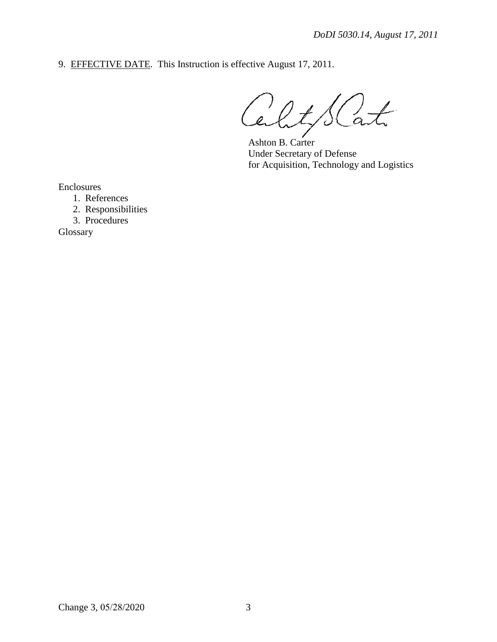9. EFFECTIVE DATE. This Instruction is effective August 17, 2011.

at  $\ell$ ty  $\mathcal{L}$ ے '

Ashton B. Carter Under Secretary of Defense for Acquisition, Technology and Logistics

Enclosures

1. References

2. Responsibilities

3. Procedures

Glossary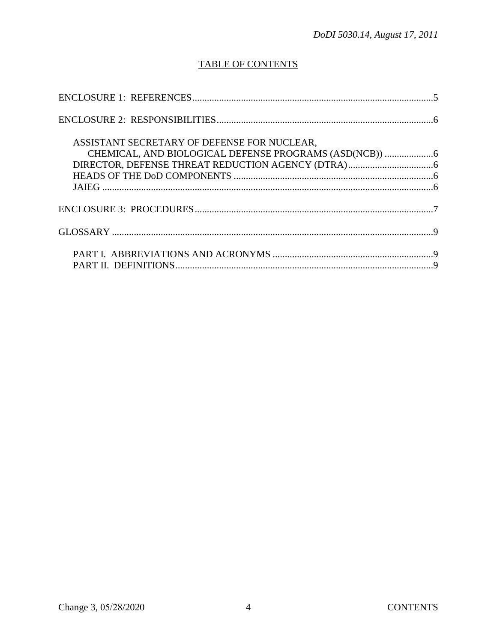## **TABLE OF CONTENTS**

| ASSISTANT SECRETARY OF DEFENSE FOR NUCLEAR, |  |
|---------------------------------------------|--|
|                                             |  |
|                                             |  |
|                                             |  |
|                                             |  |
|                                             |  |
|                                             |  |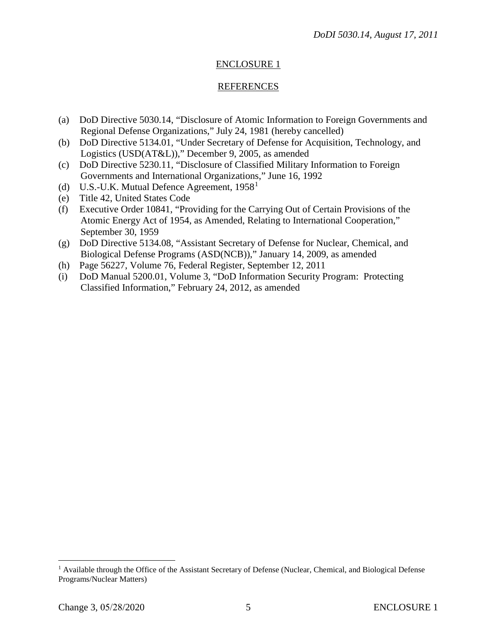### ENCLOSURE 1

#### **REFERENCES**

- (a) DoD Directive 5030.14, "Disclosure of Atomic Information to Foreign Governments and Regional Defense Organizations," July 24, 1981 (hereby cancelled)
- (b) DoD Directive 5134.01, "Under Secretary of Defense for Acquisition, Technology, and Logistics (USD(AT&L))," December 9, 2005, as amended
- (c) DoD Directive 5230.11, "Disclosure of Classified Military Information to Foreign Governments and International Organizations," June 16, 1992
- (d) U.S.-U.K. Mutual Defence Agreement,  $1958<sup>1</sup>$  $1958<sup>1</sup>$
- (e) Title 42, United States Code
- (f) Executive Order 10841, "Providing for the Carrying Out of Certain Provisions of the Atomic Energy Act of 1954, as Amended, Relating to International Cooperation," September 30, 1959
- (g) DoD Directive 5134.08, "Assistant Secretary of Defense for Nuclear, Chemical, and Biological Defense Programs (ASD(NCB))," January 14, 2009, as amended
- (h) Page 56227, Volume 76, Federal Register, September 12, 2011
- (i) DoD Manual 5200.01, Volume 3, "DoD Information Security Program: Protecting Classified Information," February 24, 2012, as amended

<span id="page-4-0"></span><sup>&</sup>lt;sup>1</sup> Available through the Office of the Assistant Secretary of Defense (Nuclear, Chemical, and Biological Defense Programs/Nuclear Matters)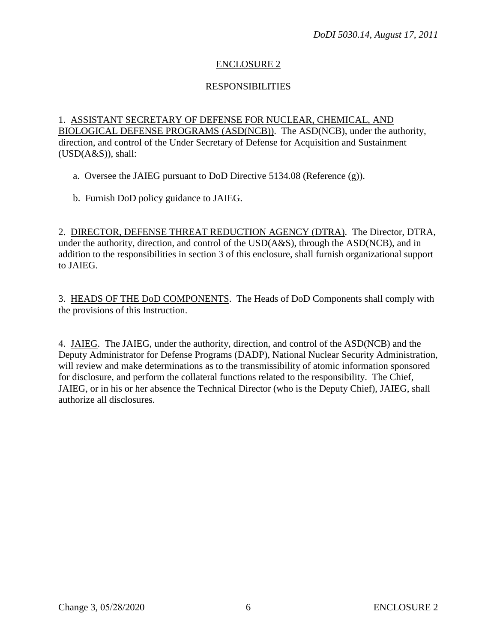## ENCLOSURE 2

## RESPONSIBILITIES

1. ASSISTANT SECRETARY OF DEFENSE FOR NUCLEAR, CHEMICAL, AND BIOLOGICAL DEFENSE PROGRAMS (ASD(NCB)). The ASD(NCB), under the authority, direction, and control of the Under Secretary of Defense for Acquisition and Sustainment (USD(A&S)), shall:

a. Oversee the JAIEG pursuant to DoD Directive 5134.08 (Reference (g)).

b. Furnish DoD policy guidance to JAIEG.

2. DIRECTOR, DEFENSE THREAT REDUCTION AGENCY (DTRA). The Director, DTRA, under the authority, direction, and control of the USD(A&S), through the ASD(NCB), and in addition to the responsibilities in section 3 of this enclosure, shall furnish organizational support to JAIEG.

3. HEADS OF THE DoD COMPONENTS. The Heads of DoD Components shall comply with the provisions of this Instruction.

4. JAIEG. The JAIEG, under the authority, direction, and control of the ASD(NCB) and the Deputy Administrator for Defense Programs (DADP), National Nuclear Security Administration, will review and make determinations as to the transmissibility of atomic information sponsored for disclosure, and perform the collateral functions related to the responsibility. The Chief, JAIEG, or in his or her absence the Technical Director (who is the Deputy Chief), JAIEG, shall authorize all disclosures.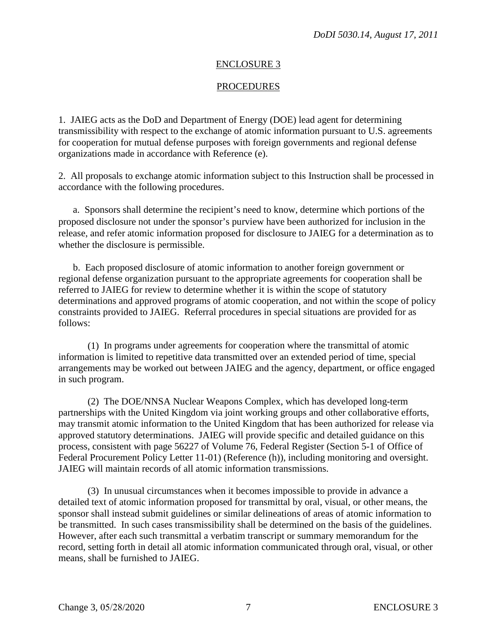#### ENCLOSURE 3

#### **PROCEDURES**

1. JAIEG acts as the DoD and Department of Energy (DOE) lead agent for determining transmissibility with respect to the exchange of atomic information pursuant to U.S. agreements for cooperation for mutual defense purposes with foreign governments and regional defense organizations made in accordance with Reference (e).

2. All proposals to exchange atomic information subject to this Instruction shall be processed in accordance with the following procedures.

a. Sponsors shall determine the recipient's need to know, determine which portions of the proposed disclosure not under the sponsor's purview have been authorized for inclusion in the release, and refer atomic information proposed for disclosure to JAIEG for a determination as to whether the disclosure is permissible.

b. Each proposed disclosure of atomic information to another foreign government or regional defense organization pursuant to the appropriate agreements for cooperation shall be referred to JAIEG for review to determine whether it is within the scope of statutory determinations and approved programs of atomic cooperation, and not within the scope of policy constraints provided to JAIEG. Referral procedures in special situations are provided for as follows:

(1) In programs under agreements for cooperation where the transmittal of atomic information is limited to repetitive data transmitted over an extended period of time, special arrangements may be worked out between JAIEG and the agency, department, or office engaged in such program.

(2) The DOE/NNSA Nuclear Weapons Complex, which has developed long-term partnerships with the United Kingdom via joint working groups and other collaborative efforts, may transmit atomic information to the United Kingdom that has been authorized for release via approved statutory determinations. JAIEG will provide specific and detailed guidance on this process, consistent with page 56227 of Volume 76, Federal Register (Section 5-1 of Office of Federal Procurement Policy Letter 11-01) (Reference (h)), including monitoring and oversight. JAIEG will maintain records of all atomic information transmissions.

(3) In unusual circumstances when it becomes impossible to provide in advance a detailed text of atomic information proposed for transmittal by oral, visual, or other means, the sponsor shall instead submit guidelines or similar delineations of areas of atomic information to be transmitted. In such cases transmissibility shall be determined on the basis of the guidelines. However, after each such transmittal a verbatim transcript or summary memorandum for the record, setting forth in detail all atomic information communicated through oral, visual, or other means, shall be furnished to JAIEG.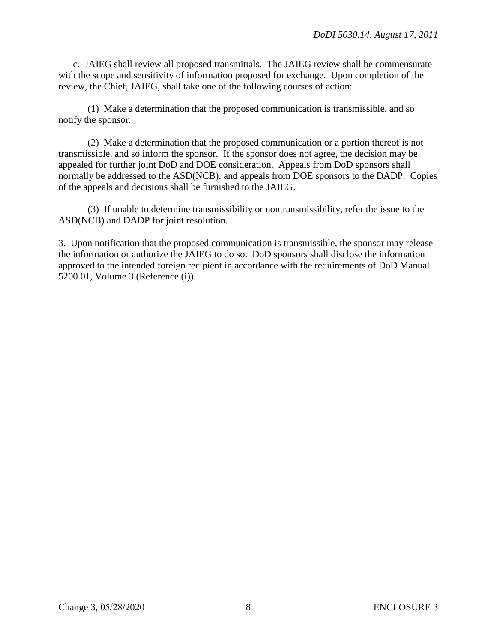c. JAIEG shall review all proposed transmittals. The JAIEG review shall be commensurate with the scope and sensitivity of information proposed for exchange. Upon completion of the review, the Chief, JAIEG, shall take one of the following courses of action:

(1) Make a determination that the proposed communication is transmissible, and so notify the sponsor.

(2) Make a determination that the proposed communication or a portion thereof is not transmissible, and so inform the sponsor. If the sponsor does not agree, the decision may be appealed for further joint DoD and DOE consideration. Appeals from DoD sponsors shall normally be addressed to the ASD(NCB), and appeals from DOE sponsors to the DADP. Copies of the appeals and decisions shall be furnished to the JAIEG.

(3) If unable to determine transmissibility or nontransmissibility, refer the issue to the ASD(NCB) and DADP for joint resolution.

3. Upon notification that the proposed communication is transmissible, the sponsor may release the information or authorize the JAIEG to do so. DoD sponsors shall disclose the information approved to the intended foreign recipient in accordance with the requirements of DoD Manual 5200.01, Volume 3 (Reference (i)).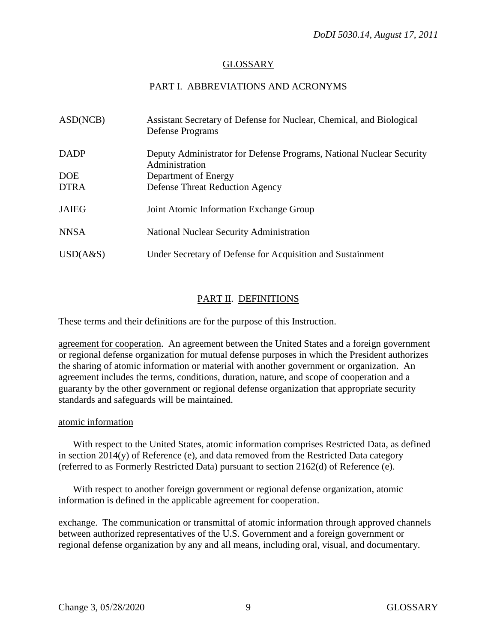### GLOSSARY

## PART I. ABBREVIATIONS AND ACRONYMS

| ASD(NCB)     | Assistant Secretary of Defense for Nuclear, Chemical, and Biological<br>Defense Programs |
|--------------|------------------------------------------------------------------------------------------|
| <b>DADP</b>  | Deputy Administrator for Defense Programs, National Nuclear Security<br>Administration   |
| <b>DOE</b>   | Department of Energy                                                                     |
| <b>DTRA</b>  | <b>Defense Threat Reduction Agency</b>                                                   |
| <b>JAIEG</b> | Joint Atomic Information Exchange Group                                                  |
| <b>NNSA</b>  | National Nuclear Security Administration                                                 |
| USD(A&S)     | Under Secretary of Defense for Acquisition and Sustainment                               |

## PART II. DEFINITIONS

These terms and their definitions are for the purpose of this Instruction.

agreement for cooperation. An agreement between the United States and a foreign government or regional defense organization for mutual defense purposes in which the President authorizes the sharing of atomic information or material with another government or organization. An agreement includes the terms, conditions, duration, nature, and scope of cooperation and a guaranty by the other government or regional defense organization that appropriate security standards and safeguards will be maintained.

#### atomic information

With respect to the United States, atomic information comprises Restricted Data, as defined in section 2014(y) of Reference (e), and data removed from the Restricted Data category (referred to as Formerly Restricted Data) pursuant to section 2162(d) of Reference (e).

With respect to another foreign government or regional defense organization, atomic information is defined in the applicable agreement for cooperation.

exchange. The communication or transmittal of atomic information through approved channels between authorized representatives of the U.S. Government and a foreign government or regional defense organization by any and all means, including oral, visual, and documentary.